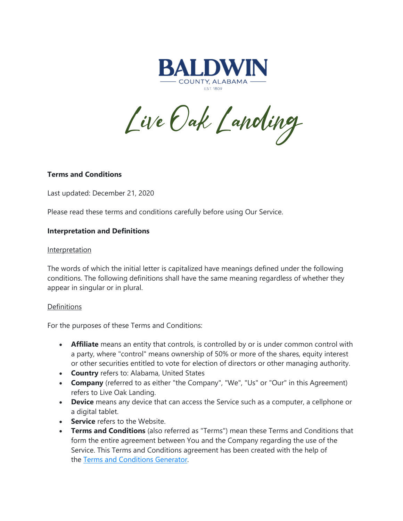

Live Oak Landing

## **Terms and Conditions**

Last updated: December 21, 2020

Please read these terms and conditions carefully before using Our Service.

### **Interpretation and Definitions**

#### Interpretation

The words of which the initial letter is capitalized have meanings defined under the following conditions. The following definitions shall have the same meaning regardless of whether they appear in singular or in plural.

#### **Definitions**

For the purposes of these Terms and Conditions:

- **Affiliate** means an entity that controls, is controlled by or is under common control with a party, where "control" means ownership of 50% or more of the shares, equity interest or other securities entitled to vote for election of directors or other managing authority.
- **Country** refers to: Alabama, United States
- **Company** (referred to as either "the Company", "We", "Us" or "Our" in this Agreement) refers to Live Oak Landing.
- **Device** means any device that can access the Service such as a computer, a cellphone or a digital tablet.
- **Service** refers to the Website.
- **Terms and Conditions** (also referred as "Terms") mean these Terms and Conditions that form the entire agreement between You and the Company regarding the use of the Service. This Terms and Conditions agreement has been created with the help of the [Terms and Conditions Generator.](https://www.termsfeed.com/terms-conditions-generator/)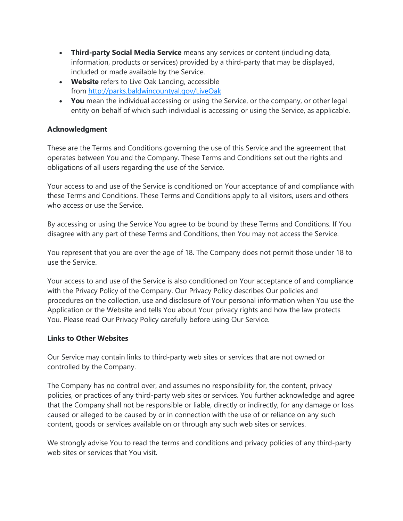- **Third-party Social Media Service** means any services or content (including data, information, products or services) provided by a third-party that may be displayed, included or made available by the Service.
- **Website** refers to Live Oak Landing, accessible from <http://parks.baldwincountyal.gov/LiveOak>
- **You** mean the individual accessing or using the Service, or the company, or other legal entity on behalf of which such individual is accessing or using the Service, as applicable.

# **Acknowledgment**

These are the Terms and Conditions governing the use of this Service and the agreement that operates between You and the Company. These Terms and Conditions set out the rights and obligations of all users regarding the use of the Service.

Your access to and use of the Service is conditioned on Your acceptance of and compliance with these Terms and Conditions. These Terms and Conditions apply to all visitors, users and others who access or use the Service.

By accessing or using the Service You agree to be bound by these Terms and Conditions. If You disagree with any part of these Terms and Conditions, then You may not access the Service.

You represent that you are over the age of 18. The Company does not permit those under 18 to use the Service.

Your access to and use of the Service is also conditioned on Your acceptance of and compliance with the Privacy Policy of the Company. Our Privacy Policy describes Our policies and procedures on the collection, use and disclosure of Your personal information when You use the Application or the Website and tells You about Your privacy rights and how the law protects You. Please read Our Privacy Policy carefully before using Our Service.

# **Links to Other Websites**

Our Service may contain links to third-party web sites or services that are not owned or controlled by the Company.

The Company has no control over, and assumes no responsibility for, the content, privacy policies, or practices of any third-party web sites or services. You further acknowledge and agree that the Company shall not be responsible or liable, directly or indirectly, for any damage or loss caused or alleged to be caused by or in connection with the use of or reliance on any such content, goods or services available on or through any such web sites or services.

We strongly advise You to read the terms and conditions and privacy policies of any third-party web sites or services that You visit.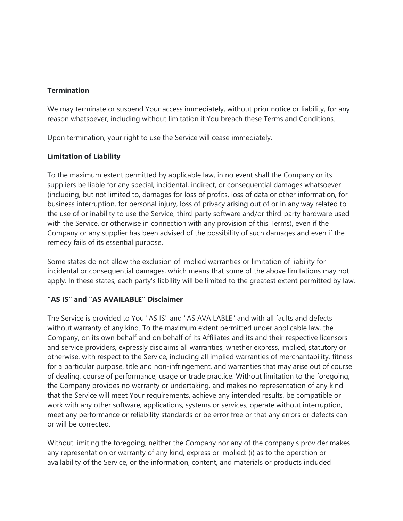## **Termination**

We may terminate or suspend Your access immediately, without prior notice or liability, for any reason whatsoever, including without limitation if You breach these Terms and Conditions.

Upon termination, your right to use the Service will cease immediately.

## **Limitation of Liability**

To the maximum extent permitted by applicable law, in no event shall the Company or its suppliers be liable for any special, incidental, indirect, or consequential damages whatsoever (including, but not limited to, damages for loss of profits, loss of data or other information, for business interruption, for personal injury, loss of privacy arising out of or in any way related to the use of or inability to use the Service, third-party software and/or third-party hardware used with the Service, or otherwise in connection with any provision of this Terms), even if the Company or any supplier has been advised of the possibility of such damages and even if the remedy fails of its essential purpose.

Some states do not allow the exclusion of implied warranties or limitation of liability for incidental or consequential damages, which means that some of the above limitations may not apply. In these states, each party's liability will be limited to the greatest extent permitted by law.

# **"AS IS" and "AS AVAILABLE" Disclaimer**

The Service is provided to You "AS IS" and "AS AVAILABLE" and with all faults and defects without warranty of any kind. To the maximum extent permitted under applicable law, the Company, on its own behalf and on behalf of its Affiliates and its and their respective licensors and service providers, expressly disclaims all warranties, whether express, implied, statutory or otherwise, with respect to the Service, including all implied warranties of merchantability, fitness for a particular purpose, title and non-infringement, and warranties that may arise out of course of dealing, course of performance, usage or trade practice. Without limitation to the foregoing, the Company provides no warranty or undertaking, and makes no representation of any kind that the Service will meet Your requirements, achieve any intended results, be compatible or work with any other software, applications, systems or services, operate without interruption, meet any performance or reliability standards or be error free or that any errors or defects can or will be corrected.

Without limiting the foregoing, neither the Company nor any of the company's provider makes any representation or warranty of any kind, express or implied: (i) as to the operation or availability of the Service, or the information, content, and materials or products included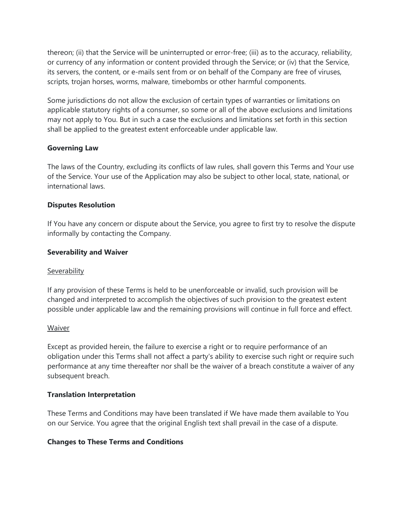thereon; (ii) that the Service will be uninterrupted or error-free; (iii) as to the accuracy, reliability, or currency of any information or content provided through the Service; or (iv) that the Service, its servers, the content, or e-mails sent from or on behalf of the Company are free of viruses, scripts, trojan horses, worms, malware, timebombs or other harmful components.

Some jurisdictions do not allow the exclusion of certain types of warranties or limitations on applicable statutory rights of a consumer, so some or all of the above exclusions and limitations may not apply to You. But in such a case the exclusions and limitations set forth in this section shall be applied to the greatest extent enforceable under applicable law.

### **Governing Law**

The laws of the Country, excluding its conflicts of law rules, shall govern this Terms and Your use of the Service. Your use of the Application may also be subject to other local, state, national, or international laws.

### **Disputes Resolution**

If You have any concern or dispute about the Service, you agree to first try to resolve the dispute informally by contacting the Company.

### **Severability and Waiver**

#### **Severability**

If any provision of these Terms is held to be unenforceable or invalid, such provision will be changed and interpreted to accomplish the objectives of such provision to the greatest extent possible under applicable law and the remaining provisions will continue in full force and effect.

#### **Waiver**

Except as provided herein, the failure to exercise a right or to require performance of an obligation under this Terms shall not affect a party's ability to exercise such right or require such performance at any time thereafter nor shall be the waiver of a breach constitute a waiver of any subsequent breach.

#### **Translation Interpretation**

These Terms and Conditions may have been translated if We have made them available to You on our Service. You agree that the original English text shall prevail in the case of a dispute.

### **Changes to These Terms and Conditions**